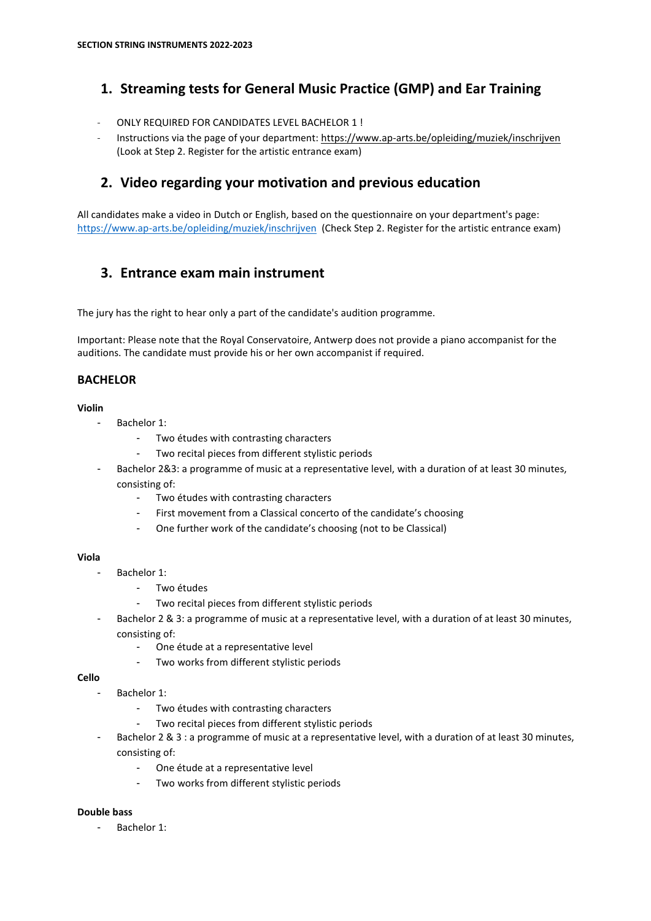# **1. Streaming tests for General Music Practice (GMP) and Ear Training**

- ONLY REQUIRED FOR CANDIDATES LEVEL BACHELOR 1 !
- Instructions via the page of your department:<https://www.ap-arts.be/opleiding/muziek/inschrijven> (Look at Step 2. Register for the artistic entrance exam)

# **2. Video regarding your motivation and previous education**

All candidates make a video in Dutch or English, based on the questionnaire on your department's page: <https://www.ap-arts.be/opleiding/muziek/inschrijven>(Check Step 2. Register for the artistic entrance exam)

# **3. Entrance exam main instrument**

The jury has the right to hear only a part of the candidate's audition programme.

Important: Please note that the Royal Conservatoire, Antwerp does not provide a piano accompanist for the auditions. The candidate must provide his or her own accompanist if required.

## **BACHELOR**

### **Violin**

- Bachelor 1:
	- Two études with contrasting characters
		- Two recital pieces from different stylistic periods
- Bachelor 2&3: a programme of music at a representative level, with a duration of at least 30 minutes, consisting of:
	- Two études with contrasting characters
	- First movement from a Classical concerto of the candidate's choosing
	- One further work of the candidate's choosing (not to be Classical)

## **Viola**

- Bachelor 1:
	- Two études
	- Two recital pieces from different stylistic periods
- Bachelor 2 & 3: a programme of music at a representative level, with a duration of at least 30 minutes, consisting of:
	- One étude at a representative level
	- Two works from different stylistic periods

## **Cello**

- Bachelor 1:
	- Two études with contrasting characters
	- Two recital pieces from different stylistic periods
- Bachelor 2 & 3 : a programme of music at a representative level, with a duration of at least 30 minutes, consisting of:
	- One étude at a representative level
	- Two works from different stylistic periods

## **Double bass**

- Bachelor 1: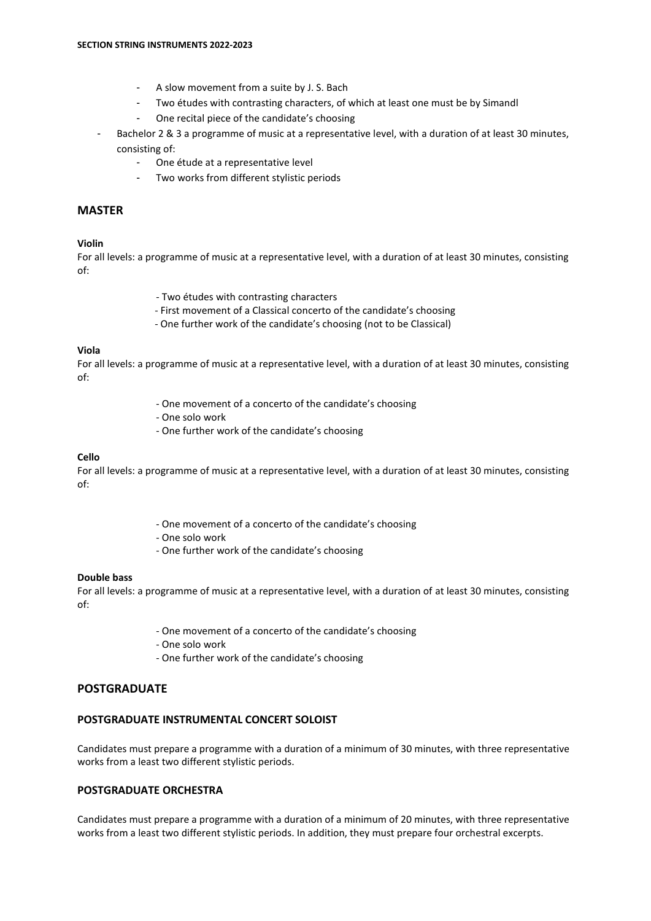- A slow movement from a suite by J. S. Bach
- Two études with contrasting characters, of which at least one must be by Simandl
- One recital piece of the candidate's choosing
- Bachelor 2 & 3 a programme of music at a representative level, with a duration of at least 30 minutes, consisting of:
	- One étude at a representative level
	- Two works from different stylistic periods

### **MASTER**

#### **Violin**

For all levels: a programme of music at a representative level, with a duration of at least 30 minutes, consisting of:

- Two études with contrasting characters
- First movement of a Classical concerto of the candidate's choosing
- One further work of the candidate's choosing (not to be Classical)

#### **Viola**

For all levels: a programme of music at a representative level, with a duration of at least 30 minutes, consisting of:

- One movement of a concerto of the candidate's choosing
- One solo work
- One further work of the candidate's choosing

#### **Cello**

For all levels: a programme of music at a representative level, with a duration of at least 30 minutes, consisting of:

- One movement of a concerto of the candidate's choosing
- One solo work
- One further work of the candidate's choosing

#### **Double bass**

For all levels: a programme of music at a representative level, with a duration of at least 30 minutes, consisting of:

- One movement of a concerto of the candidate's choosing
- One solo work
- One further work of the candidate's choosing

## **POSTGRADUATE**

#### **POSTGRADUATE INSTRUMENTAL CONCERT SOLOIST**

Candidates must prepare a programme with a duration of a minimum of 30 minutes, with three representative works from a least two different stylistic periods.

## **POSTGRADUATE ORCHESTRA**

Candidates must prepare a programme with a duration of a minimum of 20 minutes, with three representative works from a least two different stylistic periods. In addition, they must prepare four orchestral excerpts.